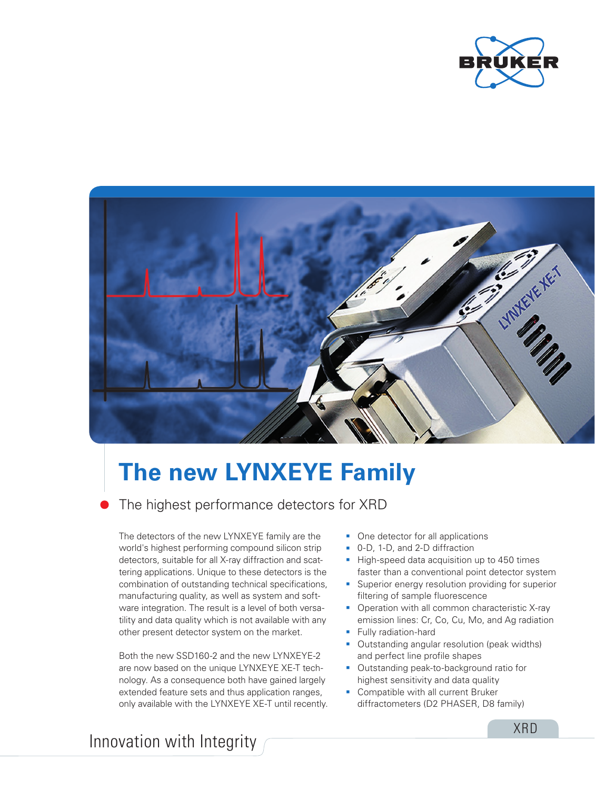



## **The new LYNXEYE Family**

The highest performance detectors for XRD

The detectors of the new LYNXEYE family are the world's highest performing compound silicon strip detectors, suitable for all X-ray diffraction and scattering applications. Unique to these detectors is the combination of outstanding technical specifications, manufacturing quality, as well as system and software integration. The result is a level of both versatility and data quality which is not available with any other present detector system on the market.

Both the new SSD160-2 and the new LYNXEYE-2 are now based on the unique LYNXEYE XE-T technology. As a consequence both have gained largely extended feature sets and thus application ranges, only available with the LYNXEYE XE-T until recently.

- One detector for all applications
- 0-D, 1-D, and 2-D diffraction
- High-speed data acquisition up to 450 times faster than a conventional point detector system
- **Superior energy resolution providing for superior** filtering of sample fluorescence
- **Operation with all common characteristic X-ray** emission lines: Cr, Co, Cu, Mo, and Ag radiation
- **Fully radiation-hard**
- **Outstanding angular resolution (peak widths)** and perfect line profile shapes
- **Outstanding peak-to-background ratio for** highest sensitivity and data quality
- **Compatible with all current Bruker** diffractometers (D2 PHASER, D8 family)

Innovation with Integrity